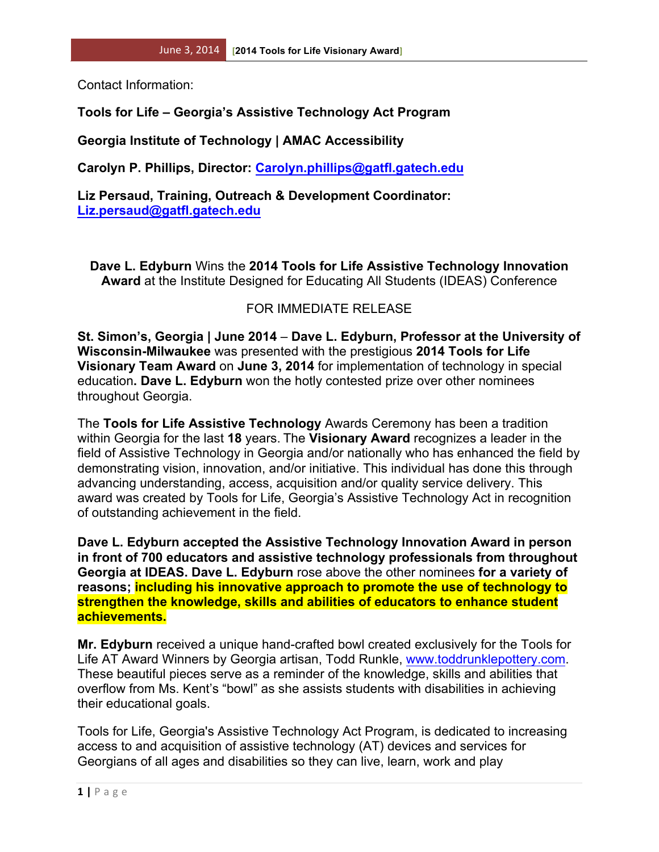Contact Information:

## **Tools for Life – Georgia's Assistive Technology Act Program**

**Georgia Institute of Technology | AMAC Accessibility**

**Carolyn P. Phillips, Director: Carolyn.phillips@gatfl.gatech.edu**

**Liz Persaud, Training, Outreach & Development Coordinator: Liz.persaud@gatfl.gatech.edu**

**Dave L. Edyburn** Wins the **2014 Tools for Life Assistive Technology Innovation Award** at the Institute Designed for Educating All Students (IDEAS) Conference

## FOR IMMEDIATE RELEASE

**St. Simon's, Georgia | June 2014** – **Dave L. Edyburn, Professor at the University of Wisconsin-Milwaukee** was presented with the prestigious **2014 Tools for Life Visionary Team Award** on **June 3, 2014** for implementation of technology in special education**. Dave L. Edyburn** won the hotly contested prize over other nominees throughout Georgia.

The **Tools for Life Assistive Technology** Awards Ceremony has been a tradition within Georgia for the last **18** years. The **Visionary Award** recognizes a leader in the field of Assistive Technology in Georgia and/or nationally who has enhanced the field by demonstrating vision, innovation, and/or initiative. This individual has done this through advancing understanding, access, acquisition and/or quality service delivery. This award was created by Tools for Life, Georgia's Assistive Technology Act in recognition of outstanding achievement in the field.

**Dave L. Edyburn accepted the Assistive Technology Innovation Award in person in front of 700 educators and assistive technology professionals from throughout Georgia at IDEAS. Dave L. Edyburn** rose above the other nominees **for a variety of reasons; including his innovative approach to promote the use of technology to strengthen the knowledge, skills and abilities of educators to enhance student achievements.**

**Mr. Edyburn** received a unique hand-crafted bowl created exclusively for the Tools for Life AT Award Winners by Georgia artisan, Todd Runkle, www.toddrunklepottery.com. These beautiful pieces serve as a reminder of the knowledge, skills and abilities that overflow from Ms. Kent's "bowl" as she assists students with disabilities in achieving their educational goals.

Tools for Life, Georgia's Assistive Technology Act Program, is dedicated to increasing access to and acquisition of assistive technology (AT) devices and services for Georgians of all ages and disabilities so they can live, learn, work and play